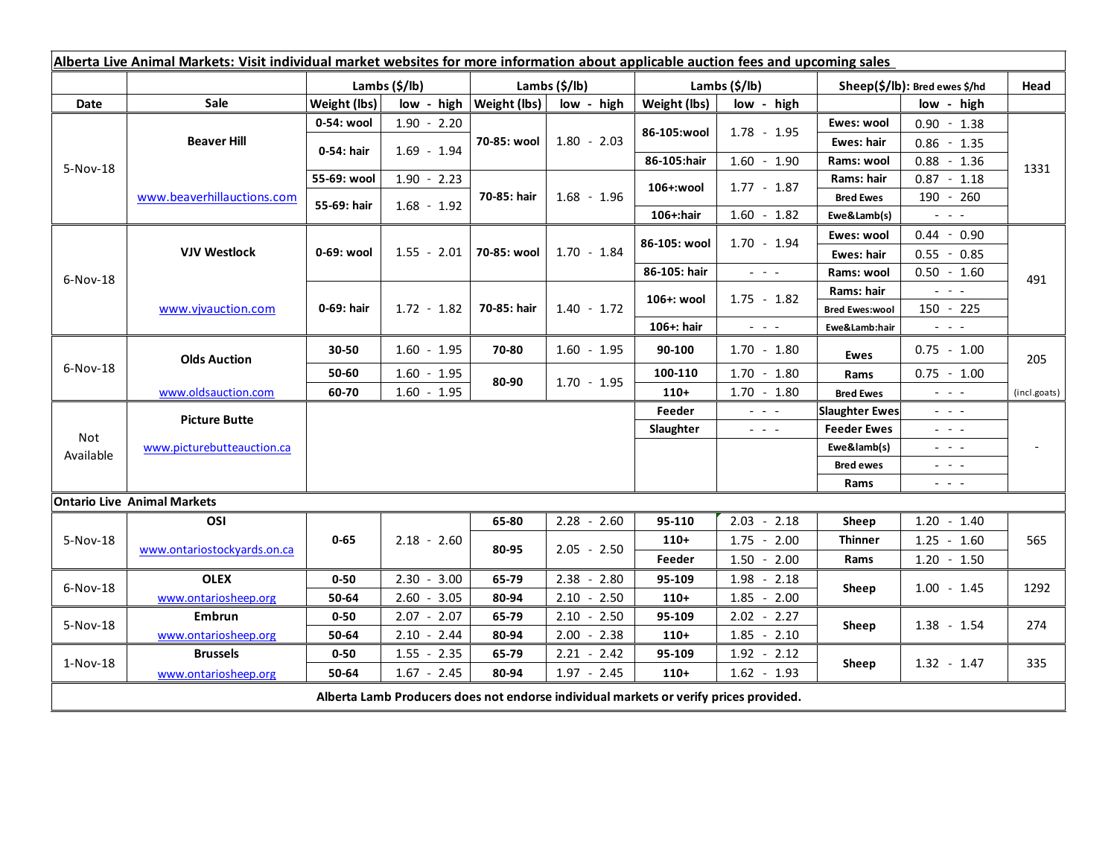| Alberta Live Animal Markets: Visit individual market websites for more information about applicable auction fees and upcoming sales |                                    |               |               |                              |               |               |                                                                                                                           |                                                                   |                                                                                   |              |
|-------------------------------------------------------------------------------------------------------------------------------------|------------------------------------|---------------|---------------|------------------------------|---------------|---------------|---------------------------------------------------------------------------------------------------------------------------|-------------------------------------------------------------------|-----------------------------------------------------------------------------------|--------------|
|                                                                                                                                     |                                    | Lambs (\$/lb) |               | Lambs $(S/lb)$               |               | Lambs (\$/lb) |                                                                                                                           | Sheep(\$/lb): Bred ewes \$/hd                                     |                                                                                   | Head         |
| Date                                                                                                                                | <b>Sale</b>                        | Weight (lbs)  |               | $low - high   Weight (lbs) $ | low - high    | Weight (lbs)  | low - high                                                                                                                |                                                                   | low - high                                                                        |              |
| 5-Nov-18                                                                                                                            | <b>Beaver Hill</b>                 | 0-54: wool    | $1.90 - 2.20$ | 70-85: wool                  | $1.80 - 2.03$ |               | $1.78 - 1.95$                                                                                                             | Ewes: wool                                                        | $0.90 - 1.38$                                                                     | 1331         |
|                                                                                                                                     |                                    | 0-54: hair    | $1.69 - 1.94$ |                              |               | 86-105:wool   |                                                                                                                           | <b>Ewes: hair</b>                                                 | $0.86 - 1.35$                                                                     |              |
|                                                                                                                                     |                                    |               |               |                              |               | 86-105:hair   | $1.60 - 1.90$                                                                                                             | Rams: wool                                                        | $0.88 - 1.36$                                                                     |              |
|                                                                                                                                     | www.beaverhillauctions.com         | 55-69: wool   | $1.90 - 2.23$ | 70-85: hair                  | $1.68 - 1.96$ | 106+:wool     | $1.77 - 1.87$                                                                                                             | Rams: hair                                                        | $0.87 - 1.18$                                                                     |              |
|                                                                                                                                     |                                    | 55-69: hair   | $1.68 - 1.92$ |                              |               |               |                                                                                                                           | <b>Bred Ewes</b>                                                  | 190 - 260                                                                         |              |
|                                                                                                                                     |                                    |               |               |                              |               | 106+:hair     | $1.60 - 1.82$                                                                                                             | Ewe&Lamb(s)                                                       | $\mathbb{Z}^2$ and $\mathbb{Z}^2$                                                 |              |
| $6-Nov-18$                                                                                                                          | <b>VJV Westlock</b>                | 0-69: wool    | $1.55 - 2.01$ | 70-85: wool                  | $1.70 - 1.84$ | 86-105: wool  | $1.70 - 1.94$                                                                                                             | Ewes: wool                                                        | $0.44 - 0.90$                                                                     |              |
|                                                                                                                                     |                                    |               |               |                              |               |               |                                                                                                                           | <b>Ewes: hair</b>                                                 | $0.55 - 0.85$                                                                     |              |
|                                                                                                                                     |                                    |               |               |                              |               | 86-105: hair  | $\omega_{\rm c}$ , $\omega_{\rm c}$ , $\omega_{\rm c}$                                                                    | Rams: wool                                                        | $0.50 - 1.60$                                                                     | 491          |
|                                                                                                                                     | www.vivauction.com                 | 0-69: hair    | $1.72 - 1.82$ | 70-85: hair                  | $1.40 - 1.72$ | 106+: wool    | $1.75 - 1.82$                                                                                                             | Rams: hair                                                        | $\sim$ $\sim$ $\sim$                                                              |              |
|                                                                                                                                     |                                    |               |               |                              |               |               |                                                                                                                           | <b>Bred Ewes:wool</b>                                             | $150 - 225$                                                                       |              |
|                                                                                                                                     |                                    |               |               |                              |               | 106+: hair    | $\frac{1}{2} \left( \frac{1}{2} \right) \left( \frac{1}{2} \right) \left( \frac{1}{2} \right) \left( \frac{1}{2} \right)$ | Ewe&Lamb:hair                                                     | $\omega_{\rm{c}}$ , $\omega_{\rm{c}}$ , $\omega_{\rm{c}}$                         |              |
| $6-Nov-18$                                                                                                                          | <b>Olds Auction</b>                | 30-50         | $1.60 - 1.95$ | 70-80                        | $1.60 - 1.95$ | 90-100        | $1.70 - 1.80$                                                                                                             | <b>Ewes</b>                                                       | $0.75 - 1.00$                                                                     | 205          |
|                                                                                                                                     |                                    | 50-60         | $1.60 - 1.95$ | 80-90                        | $1.70 - 1.95$ | 100-110       | $1.70 - 1.80$                                                                                                             | Rams                                                              | $0.75 - 1.00$                                                                     |              |
|                                                                                                                                     | www.oldsauction.com                | 60-70         | $1.60 - 1.95$ |                              |               | $110+$        | $1.70 - 1.80$                                                                                                             | <b>Bred Ewes</b>                                                  | $\omega_{\rm{c}}$ and $\omega_{\rm{c}}$                                           | (incl.goats) |
| <b>Not</b><br>Available                                                                                                             | <b>Picture Butte</b>               |               |               |                              |               | Feeder        | $\omega_{\rm c}$ , $\omega_{\rm c}$ , $\omega_{\rm c}$                                                                    | <b>Slaughter Ewes</b>                                             | $\omega_{\rm{eff}}$ and $\omega_{\rm{eff}}$                                       |              |
|                                                                                                                                     | www.picturebutteauction.ca         |               |               |                              |               | Slaughter     | $\frac{1}{2} \left( \frac{1}{2} \right) \left( \frac{1}{2} \right) \left( \frac{1}{2} \right) \left( \frac{1}{2} \right)$ | <b>Feeder Ewes</b><br>$\omega_{\rm{eff}}$ and $\omega_{\rm{eff}}$ |                                                                                   |              |
|                                                                                                                                     |                                    |               |               |                              |               |               |                                                                                                                           | Ewe&lamb(s)                                                       | $\frac{1}{2} \left( \frac{1}{2} \right) = \frac{1}{2} \left( \frac{1}{2} \right)$ |              |
|                                                                                                                                     |                                    |               |               |                              |               |               |                                                                                                                           | <b>Bred ewes</b>                                                  | $\frac{1}{2} \left( \frac{1}{2} \right) = \frac{1}{2} \left( \frac{1}{2} \right)$ |              |
|                                                                                                                                     |                                    |               |               |                              |               |               |                                                                                                                           | Rams                                                              | $\frac{1}{2} \left( \frac{1}{2} \right) = \frac{1}{2} \left( \frac{1}{2} \right)$ |              |
|                                                                                                                                     | <b>Ontario Live Animal Markets</b> |               |               |                              |               |               |                                                                                                                           |                                                                   |                                                                                   |              |
| 5-Nov-18                                                                                                                            | OSI                                | $0 - 65$      | $2.18 - 2.60$ | 65-80                        | $2.28 - 2.60$ | 95-110        | $2.03 - 2.18$                                                                                                             | Sheep                                                             | $1.20 - 1.40$                                                                     | 565          |
|                                                                                                                                     | www.ontariostockyards.on.ca        |               |               | 80-95                        | $2.05 - 2.50$ | $110+$        | $-2.00$<br>1.75                                                                                                           | <b>Thinner</b><br>Rams                                            | $1.25 - 1.60$                                                                     |              |
|                                                                                                                                     |                                    |               |               |                              |               | Feeder        | $1.50 - 2.00$                                                                                                             |                                                                   | $1.20 - 1.50$                                                                     |              |
| $6-Nov-18$                                                                                                                          | <b>OLEX</b>                        | $0 - 50$      | $2.30 - 3.00$ | 65-79                        | $2.38 - 2.80$ | 95-109        | $1.98 - 2.18$                                                                                                             | Sheep                                                             | $1.00 - 1.45$                                                                     | 1292         |
|                                                                                                                                     | www.ontariosheep.org               | 50-64         | $2.60 - 3.05$ | 80-94                        | $2.10 - 2.50$ | $110+$        | $1.85 - 2.00$                                                                                                             |                                                                   |                                                                                   |              |
| 5-Nov-18                                                                                                                            | <b>Embrun</b>                      | $0 - 50$      | $2.07 - 2.07$ | 65-79                        | $2.10 - 2.50$ | 95-109        | $2.02 - 2.27$                                                                                                             | Sheep                                                             | $1.38 - 1.54$                                                                     | 274          |
|                                                                                                                                     | www.ontariosheep.org               | 50-64         | $2.10 - 2.44$ | 80-94                        | $2.00 - 2.38$ | $110+$        | $1.85 - 2.10$                                                                                                             |                                                                   |                                                                                   |              |
| $1-Nov-18$                                                                                                                          | <b>Brussels</b>                    | $0 - 50$      | $1.55 - 2.35$ | 65-79                        | $2.21 - 2.42$ | 95-109        | $1.92 - 2.12$                                                                                                             | Sheep                                                             | $1.32 - 1.47$                                                                     | 335          |
|                                                                                                                                     | www.ontariosheep.org               | 50-64         | $1.67 - 2.45$ | 80-94                        | $1.97 - 2.45$ | $110+$        | $1.62 - 1.93$                                                                                                             |                                                                   |                                                                                   |              |
| Alberta Lamb Producers does not endorse individual markets or verify prices provided.                                               |                                    |               |               |                              |               |               |                                                                                                                           |                                                                   |                                                                                   |              |